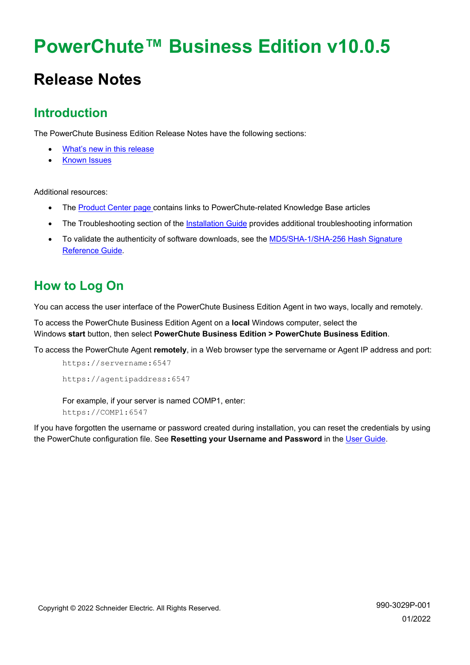# **PowerChute™ Business Edition v10.0.5**

# **Release Notes**

# **Introduction**

The PowerChute Business Edition Release Notes have the following sections:

- [What's new in this release](#page-0-0)
- [Known Issues](#page-1-0)

Additional resources:

- The [Product Center page c](https://www.apc.com/us/en/download/document/SPD_PCBE-ProductCenter_EN/)ontains links to PowerChute-related Knowledge Base articles
- The Troubleshooting section of the [Installation Guide](https://www.apc.com/us/en/download/document/SPD_PMAR-9BUL4B_EN/) provides additional troubleshooting information
- To validate the authenticity of software downloads, see the [MD5/SHA-1/SHA-256](https://www.apc.com/us/en/download/document/SPD_CCON-PCBEREF_EN/) Hash Signature [Reference Guide.](https://www.apc.com/us/en/download/document/SPD_CCON-PCBEREF_EN/)

# **How to Log On**

You can access the user interface of the PowerChute Business Edition Agent in two ways, locally and remotely.

To access the PowerChute Business Edition Agent on a **local** Windows computer, select the Windows **start** button, then select **PowerChute Business Edition > PowerChute Business Edition**.

To access the PowerChute Agent **remotely**, in a Web browser type the servername or Agent IP address and port:

```
https://servername:6547
https://agentipaddress:6547
```
For example, if your server is named COMP1, enter: https://COMP1:6547

<span id="page-0-0"></span>If you have forgotten the username or password created during installation, you can reset the credentials by using the PowerChute configuration file. See **Resetting your Username and Password** in the [User Guide.](https://www.apc.com/us/en/download/document/SPD_PMAR-9BULAD_EN)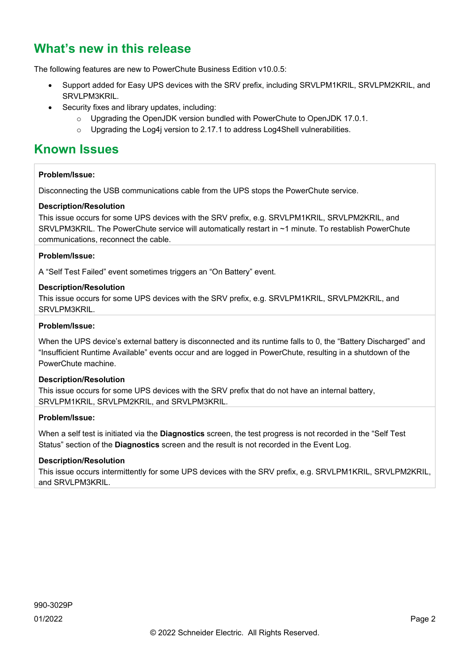# **What's new in this release**

The following features are new to PowerChute Business Edition v10.0.5:

- Support added for Easy UPS devices with the SRV prefix, including SRVLPM1KRIL, SRVLPM2KRIL, and SRVLPM3KRIL.
- Security fixes and library updates, including:
	- o Upgrading the OpenJDK version bundled with PowerChute to OpenJDK 17.0.1.
	- o Upgrading the Log4j version to 2.17.1 to address Log4Shell vulnerabilities.

# <span id="page-1-0"></span>**Known Issues**

# **Problem/Issue:**

Disconnecting the USB communications cable from the UPS stops the PowerChute service.

# **Description/Resolution**

This issue occurs for some UPS devices with the SRV prefix, e.g. SRVLPM1KRIL, SRVLPM2KRIL, and SRVLPM3KRIL. The PowerChute service will automatically restart in ~1 minute. To restablish PowerChute communications, reconnect the cable.

#### **Problem/Issue:**

A "Self Test Failed" event sometimes triggers an "On Battery" event.

#### **Description/Resolution**

This issue occurs for some UPS devices with the SRV prefix, e.g. SRVLPM1KRIL, SRVLPM2KRIL, and SRVLPM3KRIL.

# **Problem/Issue:**

When the UPS device's external battery is disconnected and its runtime falls to 0, the "Battery Discharged" and "Insufficient Runtime Available" events occur and are logged in PowerChute, resulting in a shutdown of the PowerChute machine.

# **Description/Resolution**

This issue occurs for some UPS devices with the SRV prefix that do not have an internal battery, SRVLPM1KRIL, SRVLPM2KRIL, and SRVLPM3KRIL.

#### **Problem/Issue:**

When a self test is initiated via the **Diagnostics** screen, the test progress is not recorded in the "Self Test Status" section of the **Diagnostics** screen and the result is not recorded in the Event Log.

# **Description/Resolution**

This issue occurs intermittently for some UPS devices with the SRV prefix, e.g. SRVLPM1KRIL, SRVLPM2KRIL, and SRVLPM3KRIL.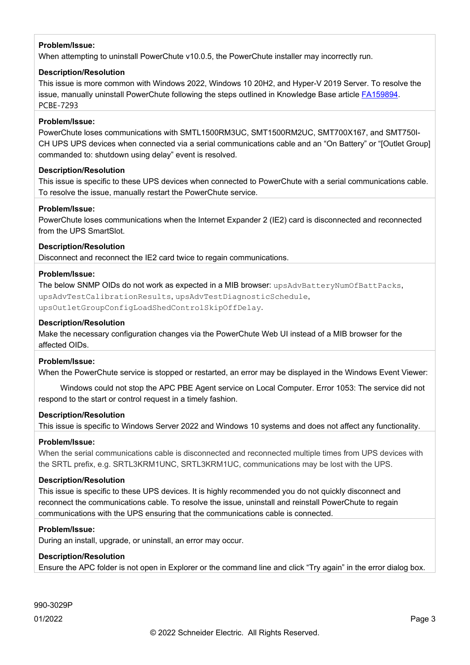When attempting to uninstall PowerChute v10.0.5, the PowerChute installer may incorrectly run.

## **Description/Resolution**

This issue is more common with Windows 2022, Windows 10 20H2, and Hyper-V 2019 Server. To resolve the issue, manually uninstall PowerChute following the steps outlined in Knowledge Base article [FA159894.](https://www.apc.com/us/en/faqs/FA159894/) PCBE-7293

## **Problem/Issue:**

PowerChute loses communications with SMTL1500RM3UC, SMT1500RM2UC, SMT700X167, and SMT750I-CH UPS UPS devices when connected via a serial communications cable and an "On Battery" or "[Outlet Group] commanded to: shutdown using delay" event is resolved.

#### **Description/Resolution**

This issue is specific to these UPS devices when connected to PowerChute with a serial communications cable. To resolve the issue, manually restart the PowerChute service.

#### **Problem/Issue:**

PowerChute loses communications when the Internet Expander 2 (IE2) card is disconnected and reconnected from the UPS SmartSlot.

## **Description/Resolution**

Disconnect and reconnect the IE2 card twice to regain communications.

#### **Problem/Issue:**

The below SNMP OIDs do not work as expected in a MIB browser: upsAdvBatteryNumOfBattPacks, upsAdvTestCalibrationResults, upsAdvTestDiagnosticSchedule, upsOutletGroupConfigLoadShedControlSkipOffDelay.

#### **Description/Resolution**

Make the necessary configuration changes via the PowerChute Web UI instead of a MIB browser for the affected OIDs.

#### **Problem/Issue:**

When the PowerChute service is stopped or restarted, an error may be displayed in the Windows Event Viewer:

 Windows could not stop the APC PBE Agent service on Local Computer. Error 1053: The service did not respond to the start or control request in a timely fashion.

#### **Description/Resolution**

This issue is specific to Windows Server 2022 and Windows 10 systems and does not affect any functionality.

#### **Problem/Issue:**

When the serial communications cable is disconnected and reconnected multiple times from UPS devices with the SRTL prefix, e.g. SRTL3KRM1UNC, SRTL3KRM1UC, communications may be lost with the UPS.

#### **Description/Resolution**

This issue is specific to these UPS devices. It is highly recommended you do not quickly disconnect and reconnect the communications cable. To resolve the issue, uninstall and reinstall PowerChute to regain communications with the UPS ensuring that the communications cable is connected.

#### **Problem/Issue:**

During an install, upgrade, or uninstall, an error may occur.

# **Description/Resolution**

Ensure the APC folder is not open in Explorer or the command line and click "Try again" in the error dialog box.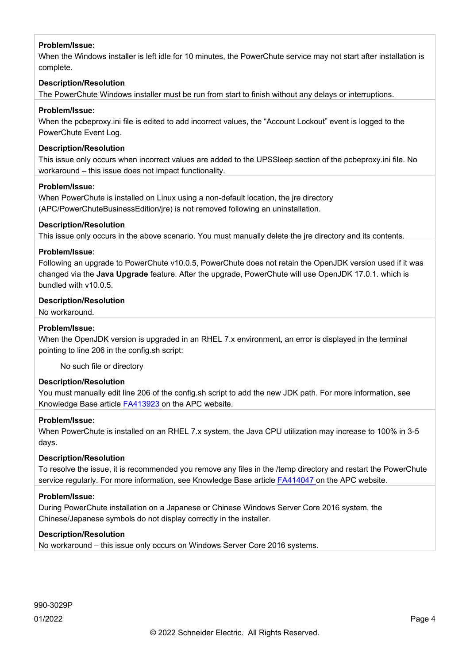When the Windows installer is left idle for 10 minutes, the PowerChute service may not start after installation is complete.

# **Description/Resolution**

The PowerChute Windows installer must be run from start to finish without any delays or interruptions.

# **Problem/Issue:**

When the pcbeproxy.ini file is edited to add incorrect values, the "Account Lockout" event is logged to the PowerChute Event Log.

## **Description/Resolution**

This issue only occurs when incorrect values are added to the UPSSleep section of the pcbeproxy.ini file. No workaround – this issue does not impact functionality.

#### **Problem/Issue:**

When PowerChute is installed on Linux using a non-default location, the jre directory (APC/PowerChuteBusinessEdition/jre) is not removed following an uninstallation.

# **Description/Resolution**

This issue only occurs in the above scenario. You must manually delete the jre directory and its contents.

#### **Problem/Issue:**

Following an upgrade to PowerChute v10.0.5, PowerChute does not retain the OpenJDK version used if it was changed via the **Java Upgrade** feature. After the upgrade, PowerChute will use OpenJDK 17.0.1. which is bundled with v10.0.5.

# **Description/Resolution**

No workaround.

# **Problem/Issue:**

When the OpenJDK version is upgraded in an RHEL 7.x environment, an error is displayed in the terminal pointing to line 206 in the config.sh script:

No such file or directory

# **Description/Resolution**

You must manually edit line 206 of the config.sh script to add the new JDK path. For more information, see Knowledge Base article [FA413923 o](https://www.apc.com/us/en/faqs/FA413923/)n the APC website.

## **Problem/Issue:**

When PowerChute is installed on an RHEL 7.x system, the Java CPU utilization may increase to 100% in 3-5 days.

# **Description/Resolution**

To resolve the issue, it is recommended you remove any files in the /temp directory and restart the PowerChute service regularly. For more information, see Knowledge Base article [FA414047 o](https://www.apc.com/jp/ja/faqs/FA414047/)n the APC website.

# **Problem/Issue:**

During PowerChute installation on a Japanese or Chinese Windows Server Core 2016 system, the Chinese/Japanese symbols do not display correctly in the installer.

# **Description/Resolution**

No workaround – this issue only occurs on Windows Server Core 2016 systems.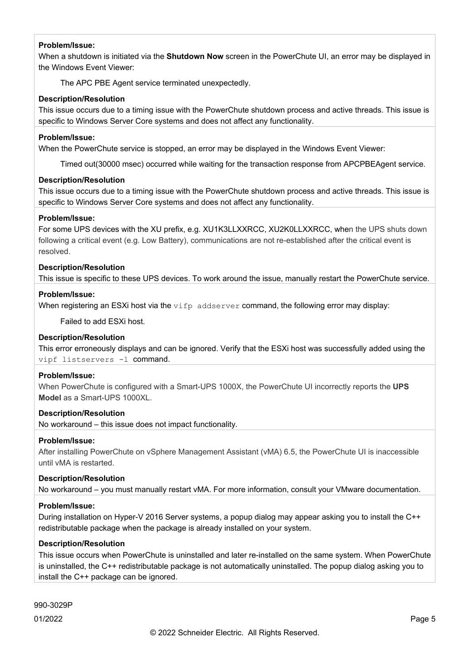When a shutdown is initiated via the **Shutdown Now** screen in the PowerChute UI, an error may be displayed in the Windows Event Viewer:

The APC PBE Agent service terminated unexpectedly.

## **Description/Resolution**

This issue occurs due to a timing issue with the PowerChute shutdown process and active threads. This issue is specific to Windows Server Core systems and does not affect any functionality.

#### **Problem/Issue:**

When the PowerChute service is stopped, an error may be displayed in the Windows Event Viewer:

Timed out(30000 msec) occurred while waiting for the transaction response from APCPBEAgent service.

#### **Description/Resolution**

This issue occurs due to a timing issue with the PowerChute shutdown process and active threads. This issue is specific to Windows Server Core systems and does not affect any functionality.

## **Problem/Issue:**

For some UPS devices with the XU prefix, e.g. XU1K3LLXXRCC, XU2K0LLXXRCC, when the UPS shuts down following a critical event (e.g. Low Battery), communications are not re-established after the critical event is resolved.

#### **Description/Resolution**

This issue is specific to these UPS devices. To work around the issue, manually restart the PowerChute service.

#### **Problem/Issue:**

When registering an ESXi host via the  $\text{vifp}$  addserver command, the following error may display:

Failed to add ESXi host.

# **Description/Resolution**

This error erroneously displays and can be ignored. Verify that the ESXi host was successfully added using the vipf listservers -l command.

## **Problem/Issue:**

When PowerChute is configured with a Smart-UPS 1000X, the PowerChute UI incorrectly reports the **UPS Model** as a Smart-UPS 1000XL.

#### **Description/Resolution**

No workaround – this issue does not impact functionality.

#### **Problem/Issue:**

After installing PowerChute on vSphere Management Assistant (vMA) 6.5, the PowerChute UI is inaccessible until vMA is restarted.

# **Description/Resolution**

No workaround – you must manually restart vMA. For more information, consult your VMware documentation.

# **Problem/Issue:**

During installation on Hyper-V 2016 Server systems, a popup dialog may appear asking you to install the C++ redistributable package when the package is already installed on your system.

#### **Description/Resolution**

This issue occurs when PowerChute is uninstalled and later re-installed on the same system. When PowerChute is uninstalled, the C++ redistributable package is not automatically uninstalled. The popup dialog asking you to install the C++ package can be ignored.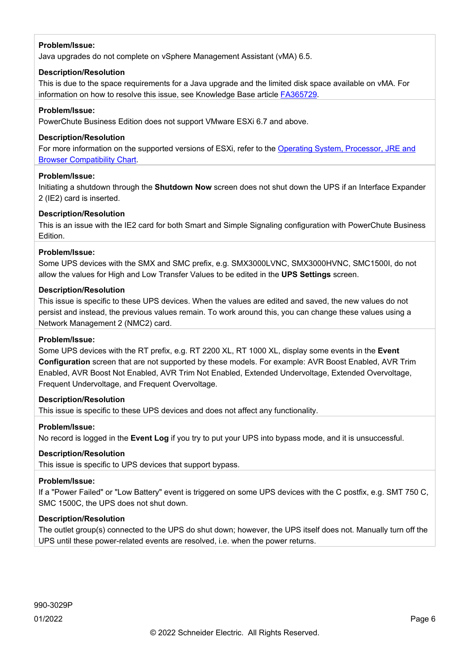Java upgrades do not complete on vSphere Management Assistant (vMA) 6.5.

# **Description/Resolution**

This is due to the space requirements for a Java upgrade and the limited disk space available on vMA. For information on how to resolve this issue, see Knowledge Base article [FA365729.](https://www.apc.com/us/en/faqs/FA365729/)

# **Problem/Issue:**

PowerChute Business Edition does not support VMware ESXi 6.7 and above.

# **Description/Resolution**

For more information on the supported versions of ESXi, refer to the [Operating System, Processor, JRE and](http://www.apc.com/wp/?um=100)  [Browser Compatibility Chart.](http://www.apc.com/wp/?um=100)

# **Problem/Issue:**

Initiating a shutdown through the **Shutdown Now** screen does not shut down the UPS if an Interface Expander 2 (IE2) card is inserted.

# **Description/Resolution**

This is an issue with the IE2 card for both Smart and Simple Signaling configuration with PowerChute Business Edition.

# **Problem/Issue:**

Some UPS devices with the SMX and SMC prefix, e.g. SMX3000LVNC, SMX3000HVNC, SMC1500I, do not allow the values for High and Low Transfer Values to be edited in the **UPS Settings** screen.

# **Description/Resolution**

This issue is specific to these UPS devices. When the values are edited and saved, the new values do not persist and instead, the previous values remain. To work around this, you can change these values using a Network Management 2 (NMC2) card.

# **Problem/Issue:**

Some UPS devices with the RT prefix, e.g. RT 2200 XL, RT 1000 XL, display some events in the **Event Configuration** screen that are not supported by these models. For example: AVR Boost Enabled, AVR Trim Enabled, AVR Boost Not Enabled, AVR Trim Not Enabled, Extended Undervoltage, Extended Overvoltage, Frequent Undervoltage, and Frequent Overvoltage.

# **Description/Resolution**

This issue is specific to these UPS devices and does not affect any functionality.

# **Problem/Issue:**

No record is logged in the **Event Log** if you try to put your UPS into bypass mode, and it is unsuccessful.

# **Description/Resolution**

This issue is specific to UPS devices that support bypass.

# **Problem/Issue:**

If a "Power Failed" or "Low Battery" event is triggered on some UPS devices with the C postfix, e.g. SMT 750 C, SMC 1500C, the UPS does not shut down.

# **Description/Resolution**

The outlet group(s) connected to the UPS do shut down; however, the UPS itself does not. Manually turn off the UPS until these power-related events are resolved, i.e. when the power returns.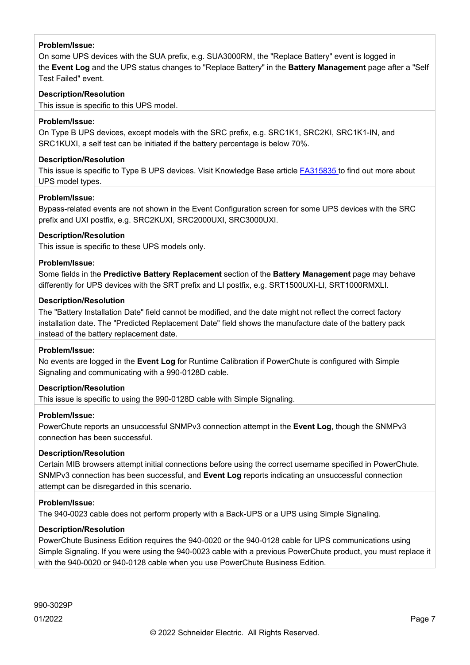On some UPS devices with the SUA prefix, e.g. SUA3000RM, the "Replace Battery" event is logged in the **Event Log** and the UPS status changes to "Replace Battery" in the **Battery Management** page after a "Self Test Failed" event.

# **Description/Resolution**

This issue is specific to this UPS model.

# **Problem/Issue:**

On Type B UPS devices, except models with the SRC prefix, e.g. SRC1K1, SRC2KI, SRC1K1-IN, and SRC1KUXI, a self test can be initiated if the battery percentage is below 70%.

# **Description/Resolution**

This issue is specific to Type B UPS devices. Visit Knowledge Base article [FA315835](http://www.apc.com/us/en/faqs/FA315835/) to find out more about UPS model types.

# **Problem/Issue:**

Bypass-related events are not shown in the Event Configuration screen for some UPS devices with the SRC prefix and UXI postfix, e.g. SRC2KUXI, SRC2000UXI, SRC3000UXI.

# **Description/Resolution**

This issue is specific to these UPS models only.

# **Problem/Issue:**

Some fields in the **Predictive Battery Replacement** section of the **Battery Management** page may behave differently for UPS devices with the SRT prefix and LI postfix, e.g. SRT1500UXI-LI, SRT1000RMXLI.

# **Description/Resolution**

The "Battery Installation Date" field cannot be modified, and the date might not reflect the correct factory installation date. The "Predicted Replacement Date" field shows the manufacture date of the battery pack instead of the battery replacement date.

# **Problem/Issue:**

No events are logged in the **Event Log** for Runtime Calibration if PowerChute is configured with Simple Signaling and communicating with a 990-0128D cable.

# **Description/Resolution**

This issue is specific to using the 990-0128D cable with Simple Signaling.

# **Problem/Issue:**

PowerChute reports an unsuccessful SNMPv3 connection attempt in the **Event Log**, though the SNMPv3 connection has been successful.

# **Description/Resolution**

Certain MIB browsers attempt initial connections before using the correct username specified in PowerChute. SNMPv3 connection has been successful, and **Event Log** reports indicating an unsuccessful connection attempt can be disregarded in this scenario.

# **Problem/Issue:**

The 940-0023 cable does not perform properly with a Back-UPS or a UPS using Simple Signaling.

# **Description/Resolution**

PowerChute Business Edition requires the 940-0020 or the 940-0128 cable for UPS communications using Simple Signaling. If you were using the 940-0023 cable with a previous PowerChute product, you must replace it with the 940-0020 or 940-0128 cable when you use PowerChute Business Edition.